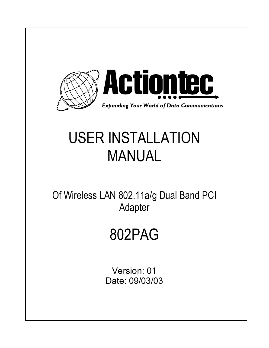

# USER INSTALLATION MANUAL

Of Wireless LAN 802.11a/g Dual Band PCI Adapter

# 802PAG

Version: 01 Date: 09/03/03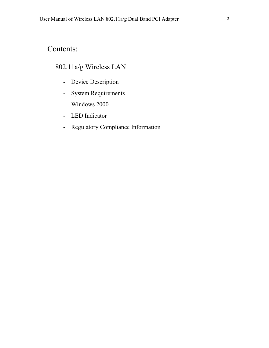# Contents:

# 802.11a/g Wireless LAN

- Device Description
- System Requirements
- Windows 2000
- LED Indicator
- Regulatory Compliance Information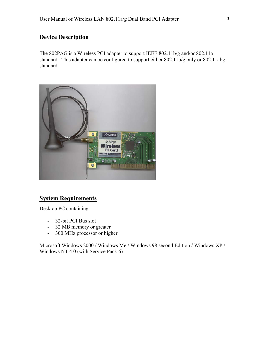## **Device Description**

The 802PAG is a Wireless PCI adapter to support IEEE 802.11b/g and/or 802.11a standard. This adapter can be configured to support either 802.11b/g only or 802.11abg standard.



### **System Requirements**

Desktop PC containing:

- 32-bit PCI Bus slot
- 32 MB memory or greater
- 300 MHz processor or higher

Microsoft Windows 2000 / Windows Me / Windows 98 second Edition / Windows XP / Windows NT 4.0 (with Service Pack 6)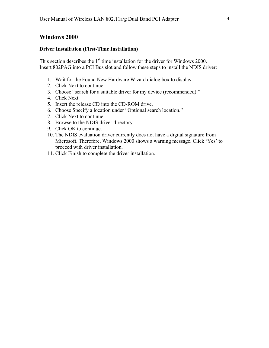#### **Windows 2000**

#### **Driver Installation (First-Time Installation)**

This section describes the  $1<sup>st</sup>$  time installation for the driver for Windows 2000. Insert 802PAG into a PCI Bus slot and follow these steps to install the NDIS driver:

- 1. Wait for the Found New Hardware Wizard dialog box to display.
- 2. Click Next to continue.
- 3. Choose "search for a suitable driver for my device (recommended)."
- 4. Click Next.
- 5. Insert the release CD into the CD-ROM drive.
- 6. Choose Specify a location under "Optional search location."
- 7. Click Next to continue.
- 8. Browse to the NDIS driver directory.
- 9. Click OK to continue.
- 10. The NDIS evaluation driver currently does not have a digital signature from Microsoft. Therefore, Windows 2000 shows a warning message. Click 'Yes' to proceed with driver installation.
- 11. Click Finish to complete the driver installation.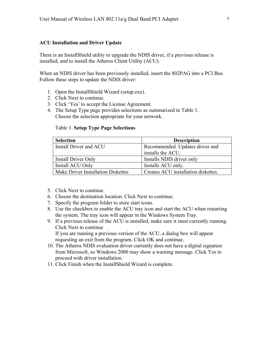#### **ACU Installation and Driver Update**

There is an InstallShield utility to upgrade the NDIS driver, if a previous release is installed, and to install the Atheros Client Utility (ACU).

When an NDIS driver has been previously installed, insert the 802PAG into a PCI Bus. Follow these steps to update the NDIS driver:

- 1. Open the InstallShield Wizard (setup.exe).
- 2. Click Next to continue.
- 3. Click 'Yes' to accept the License Agreement.
- 4. The Setup Type page provides selections as summarized in Table 1. Choose the selection appropriate for your network.

#### Table 1. **Setup Type Page Selections**

| <b>Selection</b>                   | <b>Description</b>                  |  |
|------------------------------------|-------------------------------------|--|
| Install Driver and ACU             | Recommended. Updates driver and     |  |
|                                    | installs the ACU.                   |  |
| Install Driver Only                | Installs NDIS driver only           |  |
| Install ACU Only                   | Installs ACU only.                  |  |
| Make Driver Installation Diskettes | Creates ACU installation diskettes. |  |

- 5. Click Next to continue.
- 6. Choose the destination location. Click Next to continue.
- 7. Specify the program folder to store start icons.
- 8. Use the checkbox to enable the ACU tray icon and start the ACU when restarting the system. The tray icon will appear in the Windows System Tray.
- 9. If a previous release of the ACU is installed, make sure it isnot currently running. Click Next to continue If you are running a previous version of the ACU, a dialog box will appear

requesting an exit from the program. Click OK and continue.

- 10. The Atheros NDIS evaluation driver currently does not have a digital signature from Microsoft, so Windows 2000 may show a warning message. Click Yes to proceed with driver installation.
- 11. Click Finish when the InstallShield Wizard is complete.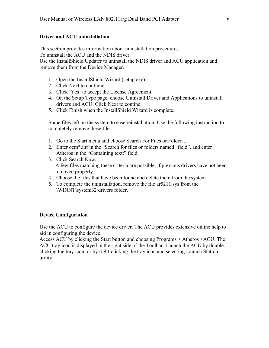#### **Driver and ACU uninstallation**

This section provides information about uninstallation procedures. To uninstall the ACU and the NDIS driver:

Use the InstallShield Updater to uninstall the NDIS driver and ACU application and remove them from the Device Manager.

- 1. Open the InstallShield Wizard (setup.exe).
- 2. Click Next to continue.
- 3. Click 'Yes' to accept the License Agreement.
- 4. On the Setup Type page, choose Uninstall Driver and Applications to uninstall drivers and ACU. Click Next to contine.
- 5. Click Finish when the InstallShield Wizard is complete.

Some files left on the system to ease reinstallation. Use the following instruction to completely remove these files.

- 1. Go to the Start menu and choose Search For Files or Folder…
- 2. Enter oem\*.inf in the "Search for files or folders named "field", and enter Atheros in the "Containing text:" field.
- 3. Click Search Now. A few files matching these criteria are possible, if previous drivers have not been removed properly.
- 4. Choose the files that have been found and delete them from the system.
- 5. To complete the uninstallation, remove the file ar5211.sys from the \WINNT\system32\drivers folder.

#### **Device Configuration**

Use the ACU to configure the device driver. The ACU provides extensive online help to aid in configuring the device.

Access ACU by clicking the Start button and choosing Programs > Atheros >ACU. The ACU tray icon is displayed in the right side of the Toolbar. Launch the ACU by doubleclicking the tray icon, or by right-clicking the tray icon and selecting Launch Station utility.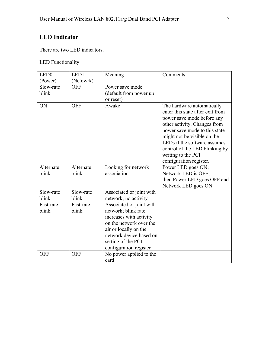## **LED Indicator**

There are two LED indicators.

## LED Functionality

| LED <sub>0</sub>   | LED1               | Meaning                                                                                                                                                                                                   | Comments                                                                                                                                                                                                                                                                                                        |
|--------------------|--------------------|-----------------------------------------------------------------------------------------------------------------------------------------------------------------------------------------------------------|-----------------------------------------------------------------------------------------------------------------------------------------------------------------------------------------------------------------------------------------------------------------------------------------------------------------|
| (Power)            | (Netowrk)          |                                                                                                                                                                                                           |                                                                                                                                                                                                                                                                                                                 |
| Slow-rate<br>blink | <b>OFF</b>         | Power save mode<br>(default from power up<br>or reset)                                                                                                                                                    |                                                                                                                                                                                                                                                                                                                 |
| ON                 | <b>OFF</b>         | Awake                                                                                                                                                                                                     | The hardware automatically<br>enter this state after exit from<br>power save mode before any<br>other activity. Changes from<br>power save mode to this state<br>might not be visible on the<br>LEDs if the software assumes<br>control of the LED blinking by<br>writing to the PCI<br>configuration register. |
| Alternate<br>blink | Alternate<br>blink | Looking for network<br>association                                                                                                                                                                        | Power LED goes ON;<br>Network LED is OFF;<br>then Power LED goes OFF and<br>Network LED goes ON                                                                                                                                                                                                                 |
| Slow-rate<br>blink | Slow-rate<br>blink | Associated or joint with<br>network; no activity                                                                                                                                                          |                                                                                                                                                                                                                                                                                                                 |
| Fast-rate<br>blink | Fast-rate<br>blink | Associated or joint with<br>network; blink rate<br>increases with activity<br>on the network over the<br>air or locally on the<br>network device based on<br>setting of the PCI<br>configuration register |                                                                                                                                                                                                                                                                                                                 |
| <b>OFF</b>         | <b>OFF</b>         | No power applied to the<br>card                                                                                                                                                                           |                                                                                                                                                                                                                                                                                                                 |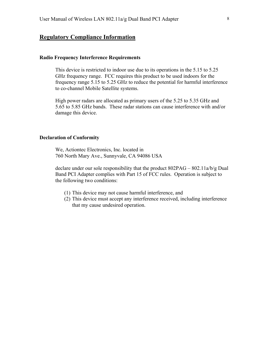### **Regulatory Compliance Information**

#### **Radio Frequency Interference Requirements**

This device is restricted to indoor use due to its operations in the 5.15 to 5.25 GHz frequency range. FCC requires this product to be used indoors for the frequency range 5.15 to 5.25 GHz to reduce the potential for harmful interference to co-channel Mobile Satellite systems.

High power radars are allocated as primary users of the 5.25 to 5.35 GHz and 5.65 to 5.85 GHz bands. These radar stations can cause interference with and/or damage this device.

#### **Declaration of Conformity**

 We, Actiontec Electronics, Inc. located in 760 North Mary Ave., Sunnyvale, CA 94086 USA

declare under our sole responsibility that the product 802PAG – 802.11a/b/g Dual Band PCI Adapter complies with Part 15 of FCC rules. Operation is subject to the following two conditions:

- (1) This device may not cause harmful interference, and
- (2) This device must accept any interference received, including interference that my cause undesired operation.